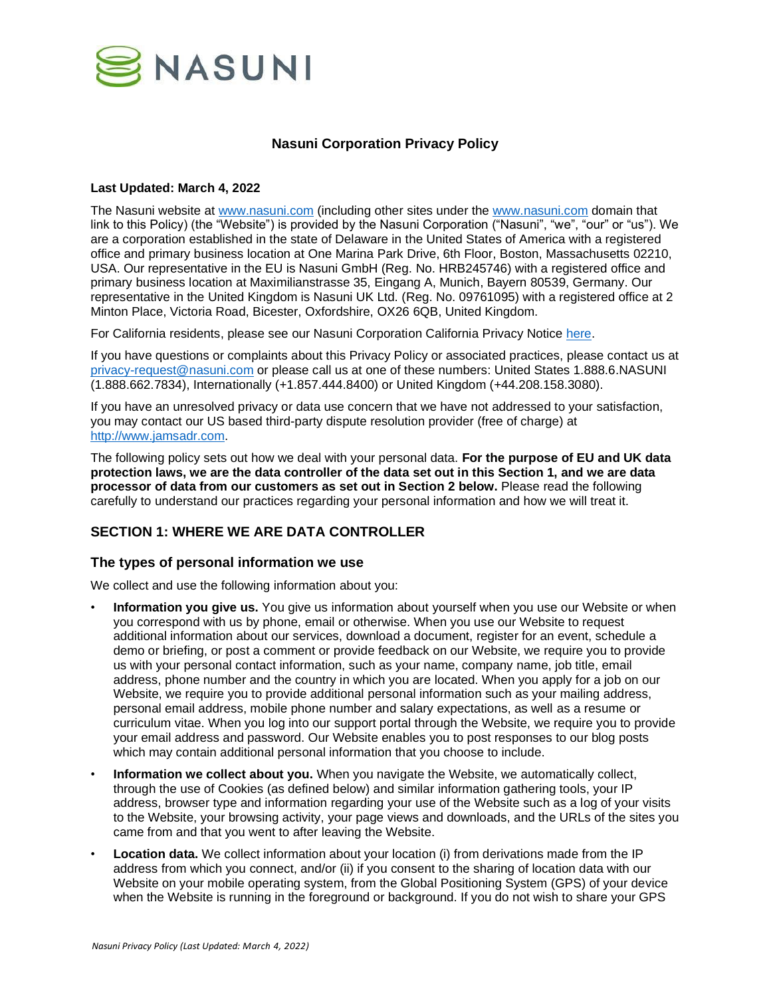

# **Nasuni Corporation Privacy Policy**

#### **Last Updated: March 4, 2022**

The Nasuni website at [www.nasuni.com](http://www.nasuni.com/) (including other sites under the [www.nasuni.com](http://www.nasuni.com/) domain that link to this Policy) (the "Website") is provided by the Nasuni Corporation ("Nasuni", "we", "our" or "us"). We are a corporation established in the state of Delaware in the United States of America with a registered office and primary business location at One Marina Park Drive, 6th Floor, Boston, Massachusetts 02210, USA. Our representative in the EU is Nasuni GmbH (Reg. No. HRB245746) with a registered office and primary business location at Maximilianstrasse 35, Eingang A, Munich, Bayern 80539, Germany. Our representative in the United Kingdom is Nasuni UK Ltd. (Reg. No. 09761095) with a registered office at 2 Minton Place, Victoria Road, Bicester, Oxfordshire, OX26 6QB, United Kingdom.

For California residents, please see our Nasuni Corporation California Privacy Notice [here.](https://www.nasuni.com/legal/ccpa/)

If you have questions or complaints about this Privacy Policy or associated practices, please contact us at [privacy-request@nasuni.com](mailto:privacy-request@nasuni.com) or please call us at one of these numbers: United States 1.888.6.NASUNI (1.888.662.7834), Internationally (+1.857.444.8400) or United Kingdom (+44.208.158.3080).

If you have an unresolved privacy or data use concern that we have not addressed to your satisfaction, you may contact our US based third-party dispute resolution provider (free of charge) at [http://www.jamsadr.com.](http://www.jamsadr.com/)

The following policy sets out how we deal with your personal data. **For the purpose of EU and UK data protection laws, we are the data controller of the data set out in this Section 1, and we are data processor of data from our customers as set out in Section 2 below.** Please read the following carefully to understand our practices regarding your personal information and how we will treat it.

# **SECTION 1: WHERE WE ARE DATA CONTROLLER**

### **The types of personal information we use**

We collect and use the following information about you:

- **Information you give us.** You give us information about yourself when you use our Website or when you correspond with us by phone, email or otherwise. When you use our Website to request additional information about our services, download a document, register for an event, schedule a demo or briefing, or post a comment or provide feedback on our Website, we require you to provide us with your personal contact information, such as your name, company name, job title, email address, phone number and the country in which you are located. When you apply for a job on our Website, we require you to provide additional personal information such as your mailing address, personal email address, mobile phone number and salary expectations, as well as a resume or curriculum vitae. When you log into our support portal through the Website, we require you to provide your email address and password. Our Website enables you to post responses to our blog posts which may contain additional personal information that you choose to include.
- **Information we collect about you.** When you navigate the Website, we automatically collect, through the use of Cookies (as defined below) and similar information gathering tools, your IP address, browser type and information regarding your use of the Website such as a log of your visits to the Website, your browsing activity, your page views and downloads, and the URLs of the sites you came from and that you went to after leaving the Website.
- **Location data.** We collect information about your location (i) from derivations made from the IP address from which you connect, and/or (ii) if you consent to the sharing of location data with our Website on your mobile operating system, from the Global Positioning System (GPS) of your device when the Website is running in the foreground or background. If you do not wish to share your GPS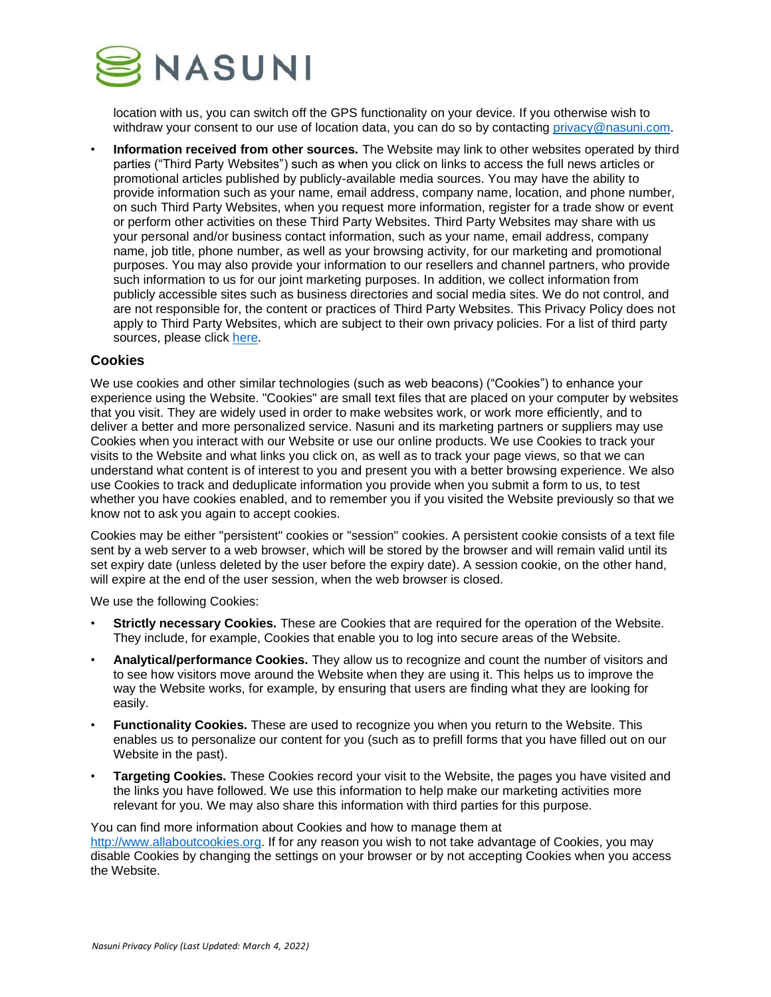

location with us, you can switch off the GPS functionality on your device. If you otherwise wish to withdraw your consent to our use of location data, you can do so by contacting [privacy@nasuni.com.](mailto:mailto:privacy@nasuni.com)

• **Information received from other sources.** The Website may link to other websites operated by third parties ("Third Party Websites") such as when you click on links to access the full news articles or promotional articles published by publicly-available media sources. You may have the ability to provide information such as your name, email address, company name, location, and phone number, on such Third Party Websites, when you request more information, register for a trade show or event or perform other activities on these Third Party Websites. Third Party Websites may share with us your personal and/or business contact information, such as your name, email address, company name, job title, phone number, as well as your browsing activity, for our marketing and promotional purposes. You may also provide your information to our resellers and channel partners, who provide such information to us for our joint marketing purposes. In addition, we collect information from publicly accessible sites such as business directories and social media sites. We do not control, and are not responsible for, the content or practices of Third Party Websites. This Privacy Policy does not apply to Third Party Websites, which are subject to their own privacy policies. For a list of third party sources, please click [here.](https://www.nasuni.com/legal/third-party-sources/)

### **Cookies**

We use cookies and other similar technologies (such as web beacons) ("Cookies") to enhance your experience using the Website. "Cookies" are small text files that are placed on your computer by websites that you visit. They are widely used in order to make websites work, or work more efficiently, and to deliver a better and more personalized service. Nasuni and its marketing partners or suppliers may use Cookies when you interact with our Website or use our online products. We use Cookies to track your visits to the Website and what links you click on, as well as to track your page views, so that we can understand what content is of interest to you and present you with a better browsing experience. We also use Cookies to track and deduplicate information you provide when you submit a form to us, to test whether you have cookies enabled, and to remember you if you visited the Website previously so that we know not to ask you again to accept cookies.

Cookies may be either "persistent" cookies or "session" cookies. A persistent cookie consists of a text file sent by a web server to a web browser, which will be stored by the browser and will remain valid until its set expiry date (unless deleted by the user before the expiry date). A session cookie, on the other hand, will expire at the end of the user session, when the web browser is closed.

We use the following Cookies:

- **Strictly necessary Cookies.** These are Cookies that are required for the operation of the Website. They include, for example, Cookies that enable you to log into secure areas of the Website.
- **Analytical/performance Cookies.** They allow us to recognize and count the number of visitors and to see how visitors move around the Website when they are using it. This helps us to improve the way the Website works, for example, by ensuring that users are finding what they are looking for easily.
- **Functionality Cookies.** These are used to recognize you when you return to the Website. This enables us to personalize our content for you (such as to prefill forms that you have filled out on our Website in the past).
- **Targeting Cookies.** These Cookies record your visit to the Website, the pages you have visited and the links you have followed. We use this information to help make our marketing activities more relevant for you. We may also share this information with third parties for this purpose.

You can find more information about Cookies and how to manage them at [http://www.allaboutcookies.org.](http://www.allaboutcookies.org/) If for any reason you wish to not take advantage of Cookies, you may disable Cookies by changing the settings on your browser or by not accepting Cookies when you access the Website.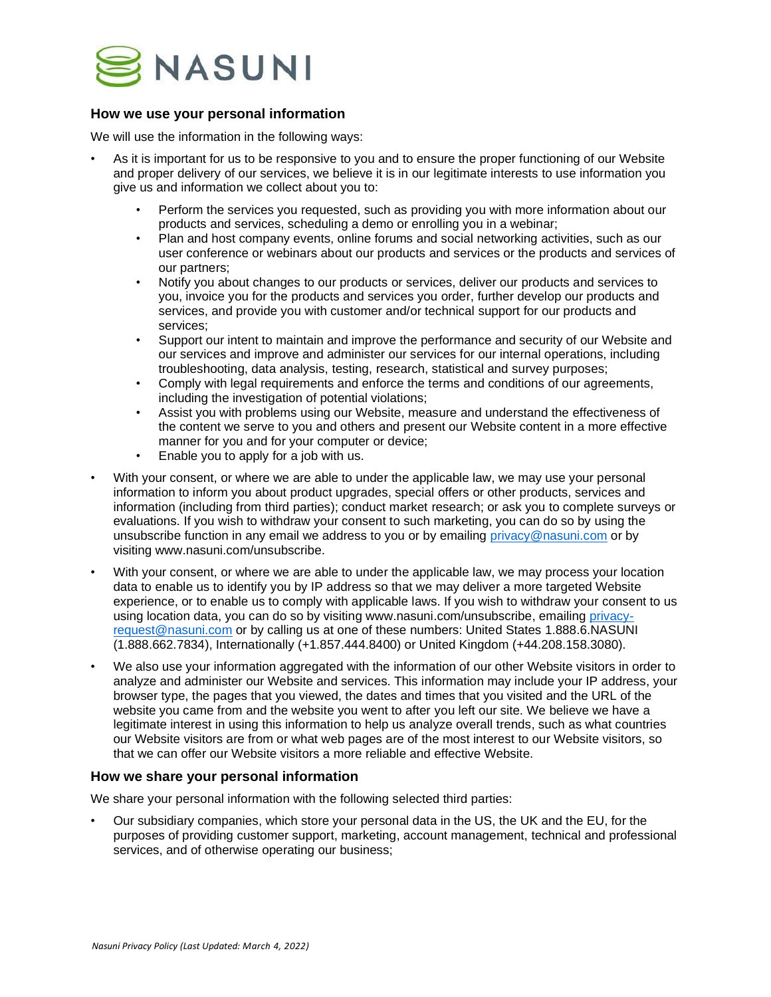

# **How we use your personal information**

We will use the information in the following ways:

- As it is important for us to be responsive to you and to ensure the proper functioning of our Website and proper delivery of our services, we believe it is in our legitimate interests to use information you give us and information we collect about you to:
	- Perform the services you requested, such as providing you with more information about our products and services, scheduling a demo or enrolling you in a webinar;
	- Plan and host company events, online forums and social networking activities, such as our user conference or webinars about our products and services or the products and services of our partners;
	- Notify you about changes to our products or services, deliver our products and services to you, invoice you for the products and services you order, further develop our products and services, and provide you with customer and/or technical support for our products and services;
	- Support our intent to maintain and improve the performance and security of our Website and our services and improve and administer our services for our internal operations, including troubleshooting, data analysis, testing, research, statistical and survey purposes;
	- Comply with legal requirements and enforce the terms and conditions of our agreements, including the investigation of potential violations;
	- Assist you with problems using our Website, measure and understand the effectiveness of the content we serve to you and others and present our Website content in a more effective manner for you and for your computer or device;
	- Enable you to apply for a job with us.
- With your consent, or where we are able to under the applicable law, we may use your personal information to inform you about product upgrades, special offers or other products, services and information (including from third parties); conduct market research; or ask you to complete surveys or evaluations. If you wish to withdraw your consent to such marketing, you can do so by using the unsubscribe function in any email we address to you or by emailing [privacy@nasuni.com](mailto:privacy@nasuni.com) or by visiting www.nasuni.com/unsubscribe.
- With your consent, or where we are able to under the applicable law, we may process your location data to enable us to identify you by IP address so that we may deliver a more targeted Website experience, or to enable us to comply with applicable laws. If you wish to withdraw your consent to us using location data, you can do so by visiting www.nasuni.com/unsubscribe, emailing [privacy](mailto:privacy-request@nasuni.com)[request@nasuni.com](mailto:privacy-request@nasuni.com) or by calling us at one of these numbers: United States 1.888.6.NASUNI (1.888.662.7834), Internationally (+1.857.444.8400) or United Kingdom (+44.208.158.3080).
- We also use your information aggregated with the information of our other Website visitors in order to analyze and administer our Website and services. This information may include your IP address, your browser type, the pages that you viewed, the dates and times that you visited and the URL of the website you came from and the website you went to after you left our site. We believe we have a legitimate interest in using this information to help us analyze overall trends, such as what countries our Website visitors are from or what web pages are of the most interest to our Website visitors, so that we can offer our Website visitors a more reliable and effective Website.

## **How we share your personal information**

We share your personal information with the following selected third parties:

• Our subsidiary companies, which store your personal data in the US, the UK and the EU, for the purposes of providing customer support, marketing, account management, technical and professional services, and of otherwise operating our business;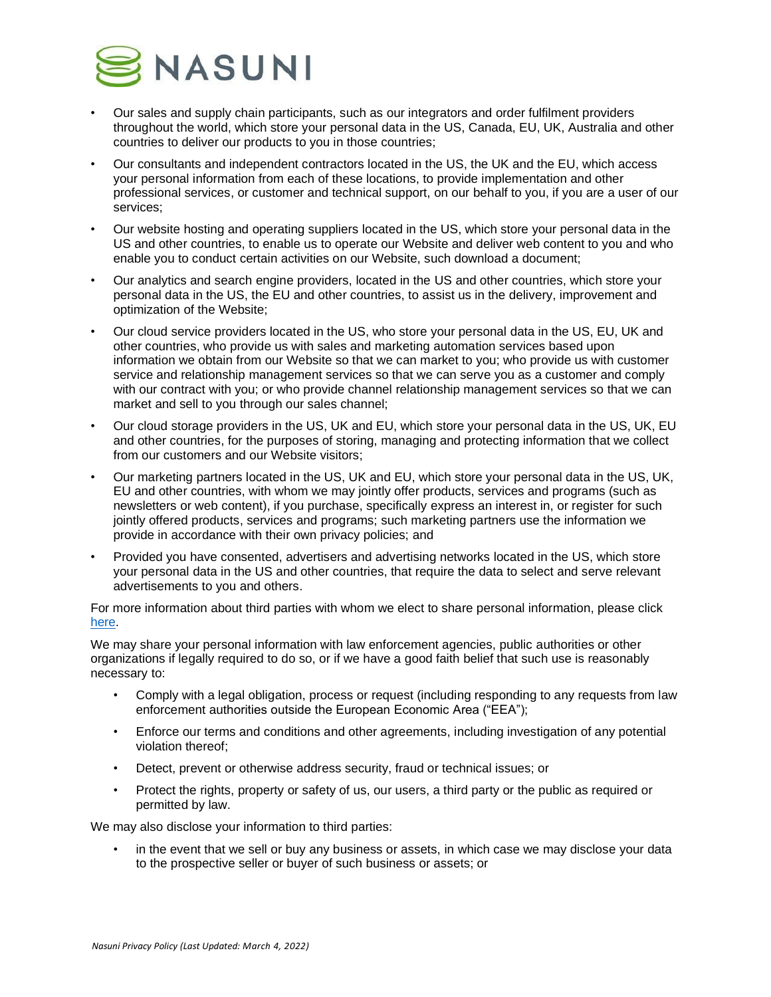

- Our sales and supply chain participants, such as our integrators and order fulfilment providers throughout the world, which store your personal data in the US, Canada, EU, UK, Australia and other countries to deliver our products to you in those countries;
- Our consultants and independent contractors located in the US, the UK and the EU, which access your personal information from each of these locations, to provide implementation and other professional services, or customer and technical support, on our behalf to you, if you are a user of our services;
- Our website hosting and operating suppliers located in the US, which store your personal data in the US and other countries, to enable us to operate our Website and deliver web content to you and who enable you to conduct certain activities on our Website, such download a document;
- Our analytics and search engine providers, located in the US and other countries, which store your personal data in the US, the EU and other countries, to assist us in the delivery, improvement and optimization of the Website;
- Our cloud service providers located in the US, who store your personal data in the US, EU, UK and other countries, who provide us with sales and marketing automation services based upon information we obtain from our Website so that we can market to you; who provide us with customer service and relationship management services so that we can serve you as a customer and comply with our contract with you; or who provide channel relationship management services so that we can market and sell to you through our sales channel;
- Our cloud storage providers in the US, UK and EU, which store your personal data in the US, UK, EU and other countries, for the purposes of storing, managing and protecting information that we collect from our customers and our Website visitors;
- Our marketing partners located in the US, UK and EU, which store your personal data in the US, UK, EU and other countries, with whom we may jointly offer products, services and programs (such as newsletters or web content), if you purchase, specifically express an interest in, or register for such jointly offered products, services and programs; such marketing partners use the information we provide in accordance with their own privacy policies; and
- Provided you have consented, advertisers and advertising networks located in the US, which store your personal data in the US and other countries, that require the data to select and serve relevant advertisements to you and others.

For more information about third parties with whom we elect to share personal information, please click [here.](https://www.nasuni.com/legal/third-party-recipients)

We may share your personal information with law enforcement agencies, public authorities or other organizations if legally required to do so, or if we have a good faith belief that such use is reasonably necessary to:

- Comply with a legal obligation, process or request (including responding to any requests from law enforcement authorities outside the European Economic Area ("EEA");
- Enforce our terms and conditions and other agreements, including investigation of any potential violation thereof;
- Detect, prevent or otherwise address security, fraud or technical issues; or
- Protect the rights, property or safety of us, our users, a third party or the public as required or permitted by law.

We may also disclose your information to third parties:

in the event that we sell or buy any business or assets, in which case we may disclose your data to the prospective seller or buyer of such business or assets; or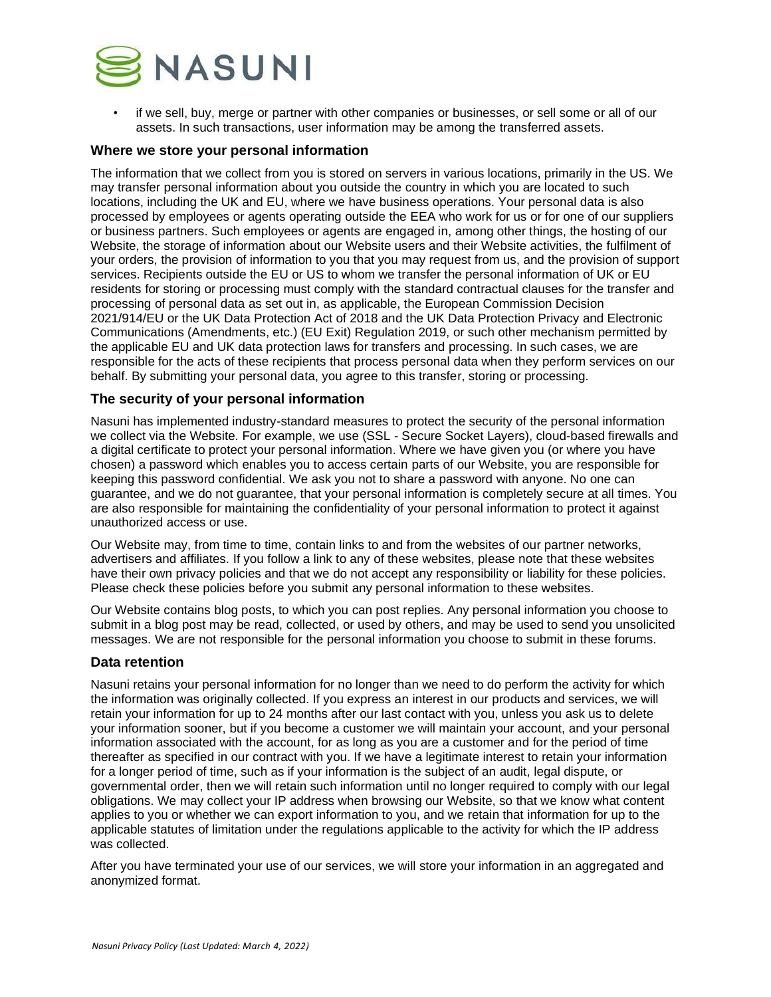

• if we sell, buy, merge or partner with other companies or businesses, or sell some or all of our assets. In such transactions, user information may be among the transferred assets.

### **Where we store your personal information**

The information that we collect from you is stored on servers in various locations, primarily in the US. We may transfer personal information about you outside the country in which you are located to such locations, including the UK and EU, where we have business operations. Your personal data is also processed by employees or agents operating outside the EEA who work for us or for one of our suppliers or business partners. Such employees or agents are engaged in, among other things, the hosting of our Website, the storage of information about our Website users and their Website activities, the fulfilment of your orders, the provision of information to you that you may request from us, and the provision of support services. Recipients outside the EU or US to whom we transfer the personal information of UK or EU residents for storing or processing must comply with the standard contractual clauses for the transfer and processing of personal data as set out in, as applicable, the European Commission Decision 2021/914/EU or the UK Data Protection Act of 2018 and the UK Data Protection Privacy and Electronic Communications (Amendments, etc.) (EU Exit) Regulation 2019, or such other mechanism permitted by the applicable EU and UK data protection laws for transfers and processing. In such cases, we are responsible for the acts of these recipients that process personal data when they perform services on our behalf. By submitting your personal data, you agree to this transfer, storing or processing.

## **The security of your personal information**

Nasuni has implemented industry-standard measures to protect the security of the personal information we collect via the Website. For example, we use (SSL - Secure Socket Layers), cloud-based firewalls and a digital certificate to protect your personal information. Where we have given you (or where you have chosen) a password which enables you to access certain parts of our Website, you are responsible for keeping this password confidential. We ask you not to share a password with anyone. No one can guarantee, and we do not guarantee, that your personal information is completely secure at all times. You are also responsible for maintaining the confidentiality of your personal information to protect it against unauthorized access or use.

Our Website may, from time to time, contain links to and from the websites of our partner networks, advertisers and affiliates. If you follow a link to any of these websites, please note that these websites have their own privacy policies and that we do not accept any responsibility or liability for these policies. Please check these policies before you submit any personal information to these websites.

Our Website contains blog posts, to which you can post replies. Any personal information you choose to submit in a blog post may be read, collected, or used by others, and may be used to send you unsolicited messages. We are not responsible for the personal information you choose to submit in these forums.

### **Data retention**

Nasuni retains your personal information for no longer than we need to do perform the activity for which the information was originally collected. If you express an interest in our products and services, we will retain your information for up to 24 months after our last contact with you, unless you ask us to delete your information sooner, but if you become a customer we will maintain your account, and your personal information associated with the account, for as long as you are a customer and for the period of time thereafter as specified in our contract with you. If we have a legitimate interest to retain your information for a longer period of time, such as if your information is the subject of an audit, legal dispute, or governmental order, then we will retain such information until no longer required to comply with our legal obligations. We may collect your IP address when browsing our Website, so that we know what content applies to you or whether we can export information to you, and we retain that information for up to the applicable statutes of limitation under the regulations applicable to the activity for which the IP address was collected.

After you have terminated your use of our services, we will store your information in an aggregated and anonymized format.